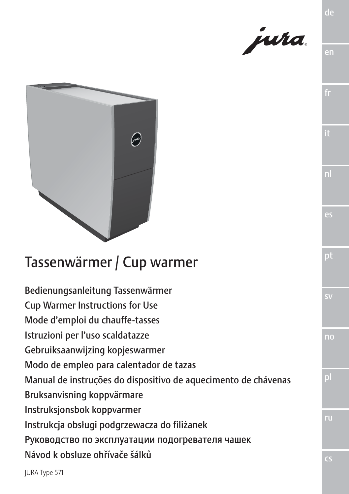

en

de

es

pt

sv

no

pl



# Tassenwärmer / Cup warmer

Bedienungsanleitung Tassenwärmer Cup Warmer Instructions for Use Mode d'emploi du chauffe-tasses Istruzioni per l'uso scaldatazze Gebruiksaanwijzing kopjeswarmer Modo de empleo para calentador de tazas Manual de instruções do dispositivo de aquecimento de chávenas Bruksanvisning koppvärmare Instruksjonsbok koppvarmer Instrukcja obsługi podgrzewacza do filiżanek Руководство по эксплуатации подогревателя чашек Návod k obsluze ohřívače šálků

JURA Type 571

ru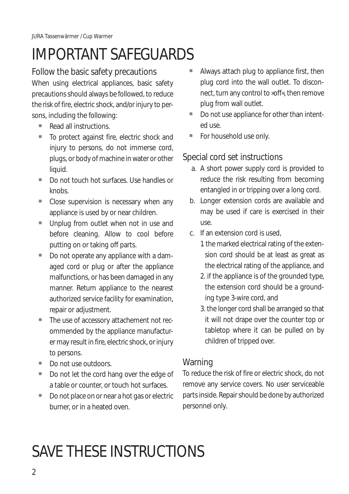# IMPORTANT SAFEGUARDS

# Follow the basic safety precautions

When using electrical appliances, basic safety precautions should always be followed, to reduce the risk of fire, electric shock, and/or injury to persons, including the following:

- $\blacksquare$  Read all instructions.
- To protect against fire, electric shock and injury to persons, do not immerse cord, plugs, or body of machine in water or other liquid.
- Do not touch hot surfaces. Use handles or knobs
- $\blacksquare$  Close supervision is necessary when any appliance is used by or near children.
- Unplug from outlet when not in use and before cleaning. Allow to cool before putting on or taking off parts.
- $\blacksquare$  Do not operate any appliance with a damaged cord or plug or after the appliance malfunctions, or has been damaged in any manner. Return appliance to the nearest authorized service facility for examination, repair or adjustment.
- The use of accessory attachement not recommended by the appliance manufacturer may result in fire, electric shock, or injury to persons.
- Do not use outdoors.
- Do not let the cord hang over the edge of a table or counter, or touch hot surfaces.
- Do not place on or near a hot gas or electric burner, or in a heated oven.
- Always attach plug to appliance first, then plug cord into the wall outlet. To disconnect, turn any control to »off«, then remove plug from wall outlet.
- Do not use appliance for other than intented use.
- For household use only.

# Special cord set instructions

- a. A short power supply cord is provided to reduce the risk resulting from becoming entangled in or tripping over a long cord.
- b. Longer extension cords are available and may be used if care is exercised in their use.
- c. If an extension cord is used,
	- 1. the marked electrical rating of the extension cord should be at least as great as the electrical rating of the appliance, and
	- 2. if the appliance is of the grounded type, the extension cord should be a grounding type 3-wire cord, and
	- 3. the longer cord shall be arranged so that it will not drape over the counter top or tabletop where it can be pulled on by children of tripped over.

# **Warning**

To reduce the risk of fire or electric shock, do not remove any service covers. No user serviceable parts inside. Repair should be done by authorized personnel only.

# SAVE THESE INSTRUCTIONS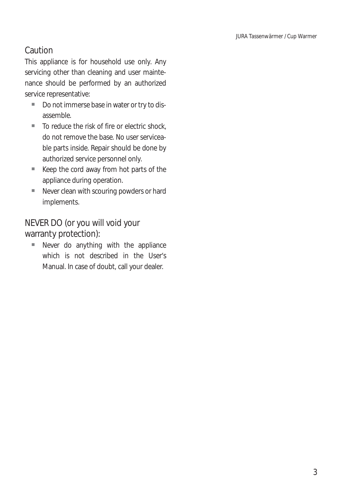# Caution

This appliance is for household use only. Any servicing other than cleaning and user maintenance should be performed by an authorized service representative:

- Do not immerse base in water or try to disassemble.
- $\blacksquare$  To reduce the risk of fire or electric shock, do not remove the base. No user serviceable parts inside. Repair should be done by authorized service personnel only.
- $\blacksquare$  Keep the cord away from hot parts of the appliance during operation.
- $\blacksquare$  Never clean with scouring powders or hard implements.

NEVER DO (or you will void your warranty protection):

 $\blacksquare$  Never do anything with the appliance which is not described in the User's Manual. In case of doubt, call your dealer.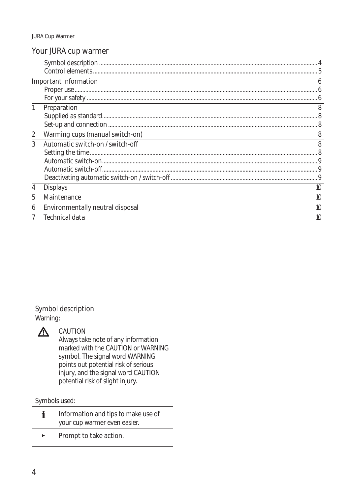## Your JURA cup warmer

|                |                                  | 5  |
|----------------|----------------------------------|----|
|                | Important information            | h  |
|                |                                  |    |
|                |                                  |    |
| 1              | Preparation                      | 8  |
|                |                                  |    |
|                |                                  |    |
| $\overline{2}$ | Warming cups (manual switch-on)  | 8  |
| 3              | Automatic switch-on / switch-off | 8  |
|                |                                  |    |
|                |                                  |    |
|                |                                  |    |
|                |                                  |    |
| 4              | <b>Displays</b>                  | 10 |
| 5              | Maintenance                      | 10 |
| 6              | Environmentally neutral disposal | 10 |
|                | Technical data                   | 10 |

#### Symbol description

Warning:



### CAUTION

Always take note of any information marked with the CAUTION or WARNING symbol. The signal word WARNING points out potential risk of serious injury, and the signal word CAUTION potential risk of slight injury.

Symbols used:

- i Information and tips to make use of your cup warmer even easier.
- $\blacktriangleright$  Prompt to take action.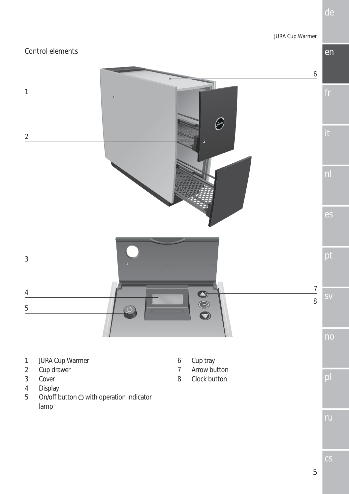

5

de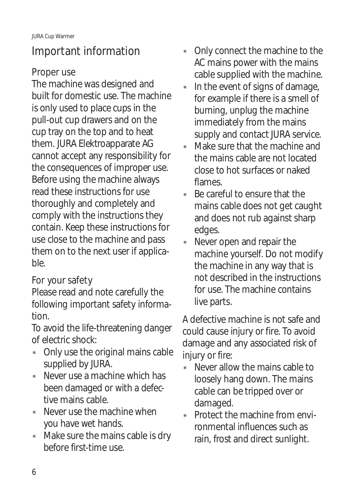# Important information

# Proper use

The machine was designed and built for domestic use. The machine is only used to place cups in the pull-out cup drawers and on the cup tray on the top and to heat them. JURA Elektroapparate AG cannot accept any responsibility for the consequences of improper use. Before using the machine always read these instructions for use thoroughly and completely and comply with the instructions they contain. Keep these instructions for use close to the machine and pass them on to the next user if applicable.

# For your safety

Please read and note carefully the following important safety information.

To avoid the life-threatening danger of electric shock:

- Only use the original mains cable supplied by JURA.
- $\blacksquare$  Never use a machine which has been damaged or with a defective mains cable.
- $\blacksquare$  Never use the machine when you have wet hands.
- Make sure the mains cable is dry before first-time use.
- Only connect the machine to the AC mains power with the mains cable supplied with the machine.
- In the event of signs of damage, for example if there is a smell of burning, unplug the machine immediately from the mains supply and contact JURA service.
- Make sure that the machine and the mains cable are not located close to hot surfaces or naked flames.
- $\blacksquare$  Be careful to ensure that the mains cable does not get caught and does not rub against sharp edges.
- Never open and repair the machine yourself. Do not modify the machine in any way that is not described in the instructions for use. The machine contains live parts.

A defective machine is not safe and could cause injury or fire. To avoid damage and any associated risk of injury or fire:

- Never allow the mains cable to loosely hang down. The mains cable can be tripped over or damaged.
- $\blacksquare$  Protect the machine from environmental influences such as rain, frost and direct sunlight.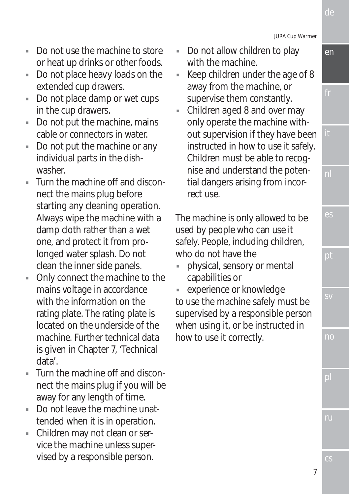JURA Cup Warmer

- $\blacksquare$  Do not use the machine to store or heat up drinks or other foods.
- Do not place heavy loads on the extended cup drawers.
- Do not place damp or wet cups in the cup drawers.
- Do not put the machine, mains cable or connectors in water.
- Do not put the machine or any individual parts in the dishwasher.
- $\blacksquare$  Turn the machine off and disconnect the mains plug before starting any cleaning operation. Always wipe the machine with a damp cloth rather than a wet one, and protect it from prolonged water splash. Do not clean the inner side panels.
- Only connect the machine to the mains voltage in accordance with the information on the rating plate. The rating plate is located on the underside of the machine. Further technical data is given in Chapter 7, 'Technical data'.
- Turn the machine off and disconnect the mains plug if you will be away for any length of time.
- $\blacksquare$  Do not leave the machine unattended when it is in operation.
- Children may not clean or service the machine unless supervised by a responsible person.
- Do not allow children to play with the machine.
- $\blacksquare$  Keep children under the age of 8 away from the machine, or supervise them constantly.
- Children aged 8 and over may only operate the machine without supervision if they have been instructed in how to use it safely. Children must be able to recognise and understand the potential dangers arising from incorrect use.

The machine is only allowed to be used by people who can use it safely. People, including children, who do not have the

physical, sensory or mental capabilities or

experience or knowledge to use the machine safely must be supervised by a responsible person when using it, or be instructed in how to use it correctly.

en

de

nl

es

pt

sv

no

pl

ru

cs

7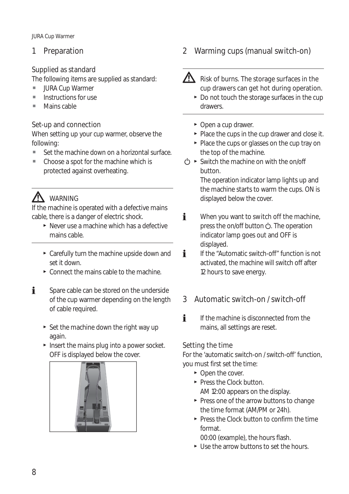JURA Cup Warmer

## 1 Preparation

## Supplied as standard

The following items are supplied as standard:

- URA Cup Warmer
- $\blacksquare$  Instructions for use
- Mains cable

### Set-up and connection

When setting up your cup warmer, observe the following:

- Set the machine down on a horizontal surface.
- Choose a spot for the machine which is protected against overheating.

# **AN** WARNING

If the machine is operated with a defective mains cable, there is a danger of electric shock.

- $\triangleright$  Never use a machine which has a defective mains cable.
- $\triangleright$  Carefully turn the machine upside down and set it down.
- $\triangleright$  Connect the mains cable to the machine.
- $\mathbf{i}$  Spare cable can be stored on the underside of the cup warmer depending on the length of cable required.
	- $\triangleright$  Set the machine down the right way up again.
	- $\blacktriangleright$  Insert the mains plug into a power socket. OFF is displayed below the cover.



2 Warming cups (manual switch-on)



 $\sum$  Risk of burns. The storage surfaces in the cup drawers can get hot during operation.

- $\triangleright$  Do not touch the storage surfaces in the cup drawers.
- $\triangleright$  Open a cup drawer.
- $\blacktriangleright$  Place the cups in the cup drawer and close it.
- $\blacktriangleright$  Place the cups or glasses on the cup tray on the top of the machine.
- $\langle \cdot \rangle$   $\triangleright$  Switch the machine on with the on/off button. The operation indicator lamp lights up and

the machine starts to warm the cups. ON is displayed below the cover.

- $\mathbf{i}$  When you want to switch off the machine, press the on/off button (b). The operation indicator lamp goes out and OFF is displayed.
- **i** If the "Automatic switch-off" function is not activated, the machine will switch off after 12 hours to save energy.

## 3 Automatic switch-on / switch-off

**i** If the machine is disconnected from the mains, all settings are reset.

### Setting the time

For the 'automatic switch-on / switch-off' function, you must first set the time:

- $\triangleright$  Open the cover.
- $\blacktriangleright$  Press the Clock button. AM 12:00 appears on the display.
- $\blacktriangleright$  Press one of the arrow buttons to change the time format (AM/PM or 24h).
- $\blacktriangleright$  Press the Clock button to confirm the time format.

00:00 (example), the hours flash.

 $\blacktriangleright$  Use the arrow buttons to set the hours.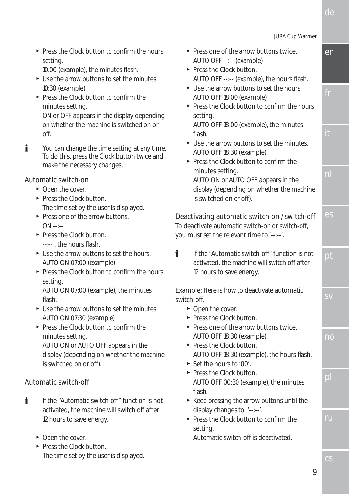cs

 $\blacktriangleright$  Press the Clock button to confirm the hours setting.

10:00 (example), the minutes flash.

- $\blacktriangleright$  Use the arrow buttons to set the minutes. 10:30 (example)
- $\blacktriangleright$  Press the Clock button to confirm the minutes setting. ON or OFF appears in the display depending

on whether the machine is switched on or off.

 $\mathbf{F}$  You can change the time setting at any time. To do this, press the Clock button twice and make the necessary changes.

#### Automatic switch-on

- $\triangleright$  Open the cover.
- $\blacktriangleright$  Press the Clock button. The time set by the user is displayed.
- $\blacktriangleright$  Press one of the arrow buttons.  $OM -1$
- $\blacktriangleright$  Press the Clock button. ---- the hours flash.
- $\blacktriangleright$  Use the arrow buttons to set the hours. AUTO ON 07:00 (example)
- $\blacktriangleright$  Press the Clock button to confirm the hours setting. AUTO ON 07:00 (example), the minutes flash.
- $\blacktriangleright$  Use the arrow buttons to set the minutes. AUTO ON 07:30 (example)
- $\blacktriangleright$  Press the Clock button to confirm the minutes setting. AUTO ON or AUTO OFF appears in the display (depending on whether the machine is switched on or off).

## Automatic switch-off

- $\mathbf{F}$  If the "Automatic switch-off" function is not activated, the machine will switch off after 12 hours to save energy.
	- $\triangleright$  Open the cover.
	- $\blacktriangleright$  Press the Clock button. The time set by the user is displayed.
- $\blacktriangleright$  Press one of the arrow buttons twice. AUTO OFF --:-- (example)
- $\blacktriangleright$  Press the Clock button. AUTO OFF --:-- (example), the hours flash.
- $\triangleright$  Use the arrow buttons to set the hours. AUTO OFF 18:00 (example)
- $\blacktriangleright$  Press the Clock button to confirm the hours setting. AUTO OFF 18:00 (example), the minutes

flash.

- $\blacktriangleright$  Use the arrow buttons to set the minutes. AUTO OFF 18:30 (example)
- $\blacktriangleright$  Press the Clock button to confirm the minutes setting. AUTO ON or AUTO OFF appears in the display (depending on whether the machine is switched on or off).

### Deactivating automatic switch-on / switch-off

To deactivate automatic switch-on or switch-off, you must set the relevant time to '--:--'.

 $\mathbf{F}$  If the "Automatic switch-off" function is not activated, the machine will switch off after 12 hours to save energy.

Example: Here is how to deactivate automatic switch-off.

- $\triangleright$  Open the cover.
- Press the Clock button.
- $\blacktriangleright$  Press one of the arrow buttons twice. AUTO OFF 18:30 (example)
- $\blacktriangleright$  Press the Clock button. AUTO OFF 18:30 (example), the hours flash.
- $\blacktriangleright$  Set the hours to '00'.
- $\blacktriangleright$  Press the Clock button. AUTO OFF 00:30 (example), the minutes flash.
- $\blacktriangleright$  Keep pressing the arrow buttons until the display changes to '--:--'.
- $\blacktriangleright$  Press the Clock button to confirm the setting.

Automatic switch-off is deactivated.

pl



de

fr

it

nl

es

pt

sv

no